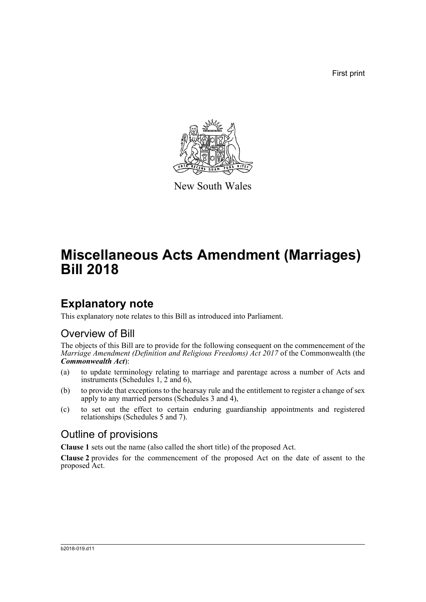First print



New South Wales

# **Miscellaneous Acts Amendment (Marriages) Bill 2018**

## **Explanatory note**

This explanatory note relates to this Bill as introduced into Parliament.

### Overview of Bill

The objects of this Bill are to provide for the following consequent on the commencement of the *Marriage Amendment (Definition and Religious Freedoms) Act 2017* of the Commonwealth (the *Commonwealth Act*):

- (a) to update terminology relating to marriage and parentage across a number of Acts and instruments (Schedules 1, 2 and 6),
- (b) to provide that exceptions to the hearsay rule and the entitlement to register a change of sex apply to any married persons (Schedules 3 and 4),
- (c) to set out the effect to certain enduring guardianship appointments and registered relationships (Schedules 5 and 7).

### Outline of provisions

**Clause 1** sets out the name (also called the short title) of the proposed Act.

**Clause 2** provides for the commencement of the proposed Act on the date of assent to the proposed Act.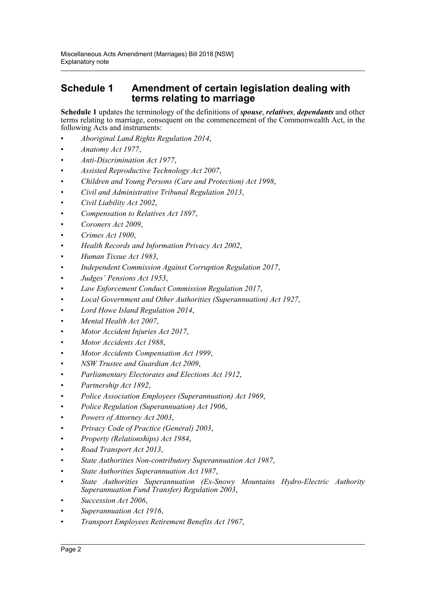### **Schedule 1 Amendment of certain legislation dealing with terms relating to marriage**

**Schedule 1** updates the terminology of the definitions of *spouse*, *relatives*, *dependants* and other terms relating to marriage, consequent on the commencement of the Commonwealth Act, in the following Acts and instruments:

- *Aboriginal Land Rights Regulation 2014*,
- *Anatomy Act 1977*,
- *Anti-Discrimination Act 1977*,
- *Assisted Reproductive Technology Act 2007*,
- *Children and Young Persons (Care and Protection) Act 1998*,
- *Civil and Administrative Tribunal Regulation 2013*,
- *Civil Liability Act 2002*,
- *Compensation to Relatives Act 1897*,
- *Coroners Act 2009*,
- *Crimes Act 1900*,
- *Health Records and Information Privacy Act 2002*,
- *Human Tissue Act 1983*,
- *Independent Commission Against Corruption Regulation 2017*,
- *Judges' Pensions Act 1953*,
- *Law Enforcement Conduct Commission Regulation 2017*,
- *Local Government and Other Authorities (Superannuation) Act 1927*,
- *Lord Howe Island Regulation 2014*,
- *Mental Health Act 2007*,
- *Motor Accident Injuries Act 2017*,
- *Motor Accidents Act 1988*,
- *Motor Accidents Compensation Act 1999*,
- *NSW Trustee and Guardian Act 2009*,
- *Parliamentary Electorates and Elections Act 1912*,
- *Partnership Act 1892*,
- *Police Association Employees (Superannuation) Act 1969*,
- *Police Regulation (Superannuation) Act 1906*,
- *Powers of Attorney Act 2003*,
- *Privacy Code of Practice (General) 2003*,
- *Property (Relationships) Act 1984*,
- *Road Transport Act 2013*,
- *State Authorities Non-contributory Superannuation Act 1987*,
- *State Authorities Superannuation Act 1987*,
- *State Authorities Superannuation (Ex-Snowy Mountains Hydro-Electric Authority Superannuation Fund Transfer) Regulation 2003*,
- *Succession Act 2006*,
- *Superannuation Act 1916*,
- *Transport Employees Retirement Benefits Act 1967*,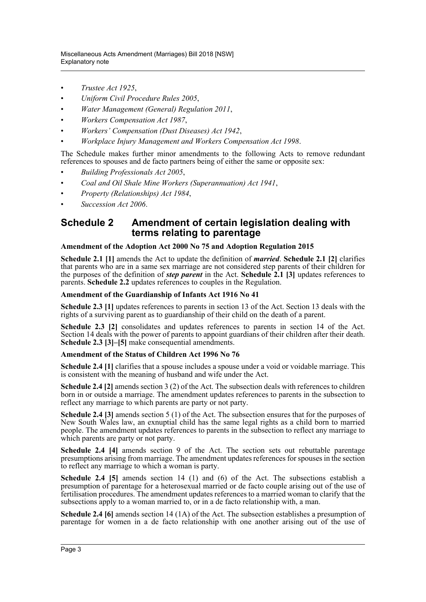- *Trustee Act 1925*,
- *Uniform Civil Procedure Rules 2005*,
- *Water Management (General) Regulation 2011*,
- *Workers Compensation Act 1987*,
- *Workers' Compensation (Dust Diseases) Act 1942*,
- *Workplace Injury Management and Workers Compensation Act 1998*.

The Schedule makes further minor amendments to the following Acts to remove redundant references to spouses and de facto partners being of either the same or opposite sex:

- *Building Professionals Act 2005*,
- *Coal and Oil Shale Mine Workers (Superannuation) Act 1941*,
- *Property (Relationships) Act 1984*,
- *Succession Act 2006*.

#### **Schedule 2 Amendment of certain legislation dealing with terms relating to parentage**

#### **Amendment of the Adoption Act 2000 No 75 and Adoption Regulation 2015**

**Schedule 2.1 [1]** amends the Act to update the definition of *married*. **Schedule 2.1 [2]** clarifies that parents who are in a same sex marriage are not considered step parents of their children for the purposes of the definition of *step parent* in the Act. **Schedule 2.1 [3]** updates references to parents. **Schedule 2.2** updates references to couples in the Regulation.

#### **Amendment of the Guardianship of Infants Act 1916 No 41**

**Schedule 2.3 [1]** updates references to parents in section 13 of the Act. Section 13 deals with the rights of a surviving parent as to guardianship of their child on the death of a parent.

**Schedule 2.3 [2]** consolidates and updates references to parents in section 14 of the Act. Section 14 deals with the power of parents to appoint guardians of their children after their death. **Schedule 2.3 [3]–[5]** make consequential amendments.

#### **Amendment of the Status of Children Act 1996 No 76**

**Schedule 2.4 [1]** clarifies that a spouse includes a spouse under a void or voidable marriage. This is consistent with the meaning of husband and wife under the Act.

**Schedule 2.4 [2]** amends section 3 (2) of the Act. The subsection deals with references to children born in or outside a marriage. The amendment updates references to parents in the subsection to reflect any marriage to which parents are party or not party.

**Schedule 2.4 [3]** amends section 5 (1) of the Act. The subsection ensures that for the purposes of New South Wales law, an exnuptial child has the same legal rights as a child born to married people. The amendment updates references to parents in the subsection to reflect any marriage to which parents are party or not party.

**Schedule 2.4 [4]** amends section 9 of the Act. The section sets out rebuttable parentage presumptions arising from marriage. The amendment updates references for spouses in the section to reflect any marriage to which a woman is party.

**Schedule 2.4 [5]** amends section 14 (1) and (6) of the Act. The subsections establish a presumption of parentage for a heterosexual married or de facto couple arising out of the use of fertilisation procedures. The amendment updates references to a married woman to clarify that the subsections apply to a woman married to, or in a de facto relationship with, a man.

**Schedule 2.4 [6]** amends section 14 (1A) of the Act. The subsection establishes a presumption of parentage for women in a de facto relationship with one another arising out of the use of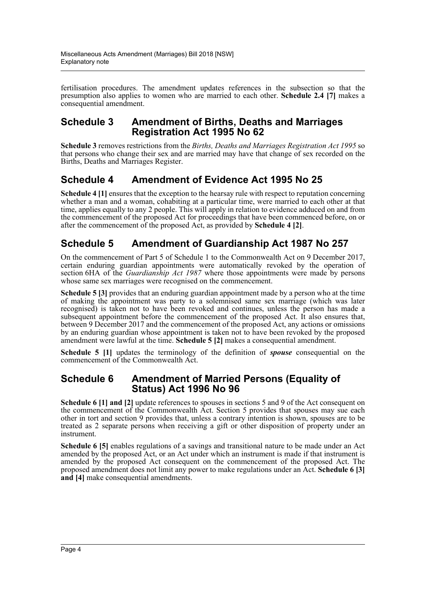fertilisation procedures. The amendment updates references in the subsection so that the presumption also applies to women who are married to each other. **Schedule 2.4 [7]** makes a consequential amendment.

#### **Schedule 3 Amendment of Births, Deaths and Marriages Registration Act 1995 No 62**

**Schedule 3** removes restrictions from the *Births, Deaths and Marriages Registration Act 1995* so that persons who change their sex and are married may have that change of sex recorded on the Births, Deaths and Marriages Register.

### **Schedule 4 Amendment of Evidence Act 1995 No 25**

**Schedule 4** [1] ensures that the exception to the hearsay rule with respect to reputation concerning whether a man and a woman, cohabiting at a particular time, were married to each other at that time, applies equally to any 2 people. This will apply in relation to evidence adduced on and from the commencement of the proposed Act for proceedings that have been commenced before, on or after the commencement of the proposed Act, as provided by **Schedule 4 [2]**.

### **Schedule 5 Amendment of Guardianship Act 1987 No 257**

On the commencement of Part 5 of Schedule 1 to the Commonwealth Act on 9 December 2017, certain enduring guardian appointments were automatically revoked by the operation of section 6HA of the *Guardianship Act 1987* where those appointments were made by persons whose same sex marriages were recognised on the commencement.

**Schedule 5 [3]** provides that an enduring guardian appointment made by a person who at the time of making the appointment was party to a solemnised same sex marriage (which was later recognised) is taken not to have been revoked and continues, unless the person has made a subsequent appointment before the commencement of the proposed Act. It also ensures that, between 9 December 2017 and the commencement of the proposed Act, any actions or omissions by an enduring guardian whose appointment is taken not to have been revoked by the proposed amendment were lawful at the time. **Schedule 5 [2]** makes a consequential amendment.

**Schedule 5 [1]** updates the terminology of the definition of *spouse* consequential on the commencement of the Commonwealth Act.

#### **Schedule 6 Amendment of Married Persons (Equality of Status) Act 1996 No 96**

**Schedule 6 [1] and [2]** update references to spouses in sections 5 and 9 of the Act consequent on the commencement of the Commonwealth Act. Section 5 provides that spouses may sue each other in tort and section 9 provides that, unless a contrary intention is shown, spouses are to be treated as 2 separate persons when receiving a gift or other disposition of property under an instrument.

**Schedule 6 [5]** enables regulations of a savings and transitional nature to be made under an Act amended by the proposed Act, or an Act under which an instrument is made if that instrument is amended by the proposed Act consequent on the commencement of the proposed Act. The proposed amendment does not limit any power to make regulations under an Act. **Schedule 6 [3] and [4]** make consequential amendments.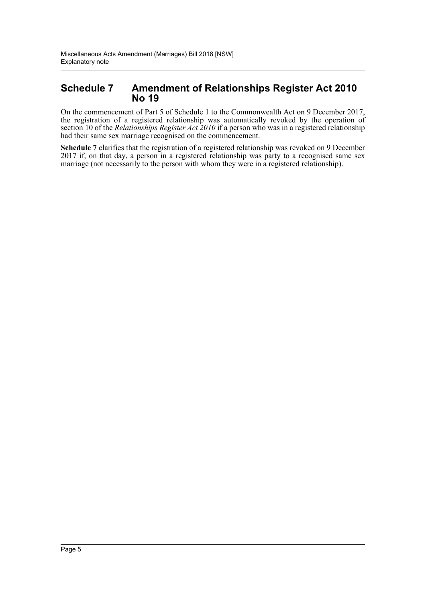#### **Schedule 7 Amendment of Relationships Register Act 2010 No 19**

On the commencement of Part 5 of Schedule 1 to the Commonwealth Act on 9 December 2017, the registration of a registered relationship was automatically revoked by the operation of section 10 of the *Relationships Register Act 2010* if a person who was in a registered relationship had their same sex marriage recognised on the commencement.

**Schedule 7** clarifies that the registration of a registered relationship was revoked on 9 December 2017 if, on that day, a person in a registered relationship was party to a recognised same sex marriage (not necessarily to the person with whom they were in a registered relationship).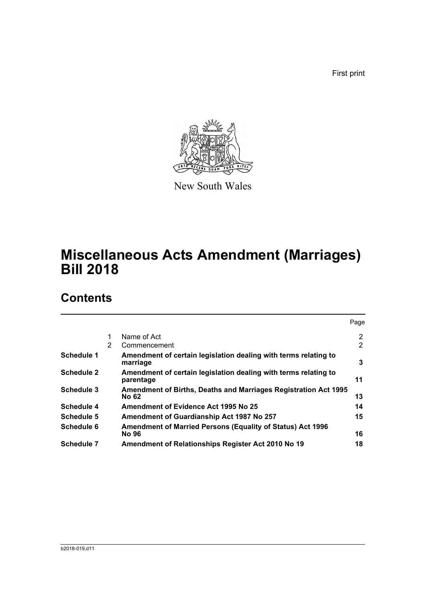First print



New South Wales

# **Miscellaneous Acts Amendment (Marriages) Bill 2018**

## **Contents**

|                   |   |                                                                                 | Page |
|-------------------|---|---------------------------------------------------------------------------------|------|
|                   | 1 | Name of Act                                                                     | 2    |
|                   | 2 | Commencement                                                                    | 2    |
| Schedule 1        |   | Amendment of certain legislation dealing with terms relating to<br>marriage     | 3    |
| <b>Schedule 2</b> |   | Amendment of certain legislation dealing with terms relating to<br>parentage    | 11   |
| <b>Schedule 3</b> |   | <b>Amendment of Births, Deaths and Marriages Registration Act 1995</b><br>No 62 | 13   |
| <b>Schedule 4</b> |   | Amendment of Evidence Act 1995 No 25                                            | 14   |
| <b>Schedule 5</b> |   | Amendment of Guardianship Act 1987 No 257                                       | 15   |
| Schedule 6        |   | <b>Amendment of Married Persons (Equality of Status) Act 1996</b>               |      |
|                   |   | No 96                                                                           | 16   |
| Schedule 7        |   | Amendment of Relationships Register Act 2010 No 19                              | 18   |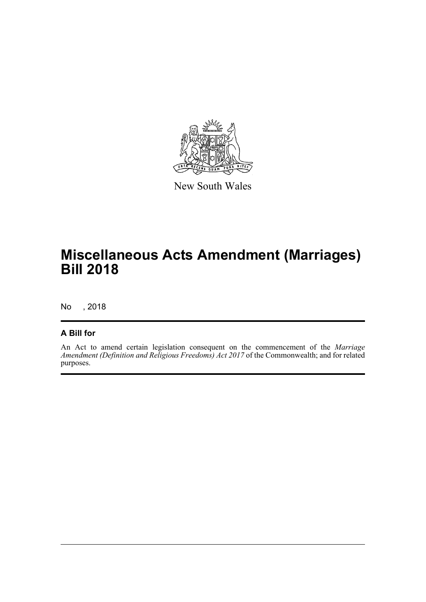

New South Wales

## **Miscellaneous Acts Amendment (Marriages) Bill 2018**

No , 2018

#### **A Bill for**

An Act to amend certain legislation consequent on the commencement of the *Marriage Amendment (Definition and Religious Freedoms) Act 2017* of the Commonwealth; and for related purposes.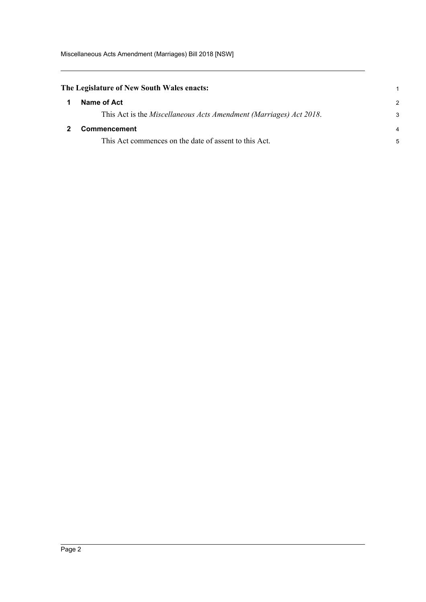Miscellaneous Acts Amendment (Marriages) Bill 2018 [NSW]

<span id="page-7-1"></span><span id="page-7-0"></span>

| The Legislature of New South Wales enacts:                         |                |
|--------------------------------------------------------------------|----------------|
| Name of Act                                                        | $\mathcal{P}$  |
| This Act is the Miscellaneous Acts Amendment (Marriages) Act 2018. | 3              |
| Commencement                                                       | $\overline{4}$ |
| This Act commences on the date of assent to this Act.              | 5              |
|                                                                    |                |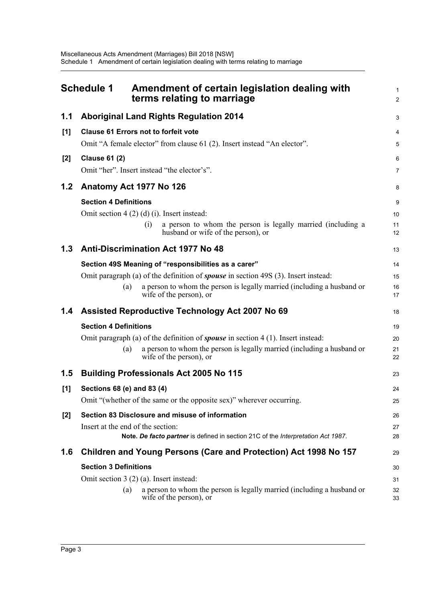<span id="page-8-0"></span>

|       | <b>Schedule 1</b>                 | Amendment of certain legislation dealing with<br>terms relating to marriage                              | $\mathbf{1}$<br>$\overline{2}$ |
|-------|-----------------------------------|----------------------------------------------------------------------------------------------------------|--------------------------------|
| 1.1   |                                   | <b>Aboriginal Land Rights Regulation 2014</b>                                                            | 3                              |
| [1]   |                                   | <b>Clause 61 Errors not to forfeit vote</b>                                                              | 4                              |
|       |                                   | Omit "A female elector" from clause 61 (2). Insert instead "An elector".                                 | 5                              |
| $[2]$ | <b>Clause 61 (2)</b>              |                                                                                                          | 6                              |
|       |                                   | Omit "her". Insert instead "the elector's".                                                              | $\overline{7}$                 |
| 1.2   | Anatomy Act 1977 No 126           |                                                                                                          | 8                              |
|       | <b>Section 4 Definitions</b>      |                                                                                                          | 9                              |
|       |                                   | Omit section $4(2)(d)(i)$ . Insert instead:                                                              | 10                             |
|       |                                   | a person to whom the person is legally married (including a<br>(i)<br>husband or wife of the person), or | 11<br>12                       |
| 1.3   |                                   | <b>Anti-Discrimination Act 1977 No 48</b>                                                                | 13                             |
|       |                                   | Section 49S Meaning of "responsibilities as a carer"                                                     | 14                             |
|       |                                   | Omit paragraph (a) of the definition of <i>spouse</i> in section 49S (3). Insert instead:                | 15                             |
|       | (a)                               | a person to whom the person is legally married (including a husband or<br>wife of the person), or        | 16<br>17                       |
| 1.4   |                                   | Assisted Reproductive Technology Act 2007 No 69                                                          | 18                             |
|       | <b>Section 4 Definitions</b>      |                                                                                                          | 19                             |
|       |                                   | Omit paragraph (a) of the definition of <b>spouse</b> in section $4(1)$ . Insert instead:                | 20                             |
|       | (a)                               | a person to whom the person is legally married (including a husband or<br>wife of the person), or        | 21<br>22                       |
| 1.5   |                                   | <b>Building Professionals Act 2005 No 115</b>                                                            | 23                             |
| [1]   | Sections 68 (e) and 83 (4)        |                                                                                                          | 24                             |
|       |                                   | Omit "(whether of the same or the opposite sex)" wherever occurring.                                     | 25                             |
| $[2]$ |                                   | Section 83 Disclosure and misuse of information                                                          | 26                             |
|       | Insert at the end of the section: |                                                                                                          | 27                             |
|       |                                   | Note. De facto partner is defined in section 21C of the Interpretation Act 1987.                         | 28                             |
| 1.6   |                                   | Children and Young Persons (Care and Protection) Act 1998 No 157                                         | 29                             |
|       | <b>Section 3 Definitions</b>      |                                                                                                          | 30                             |
|       |                                   | Omit section $3(2)(a)$ . Insert instead:                                                                 | 31                             |
|       | (a)                               | a person to whom the person is legally married (including a husband or<br>wife of the person), or        | 32<br>33                       |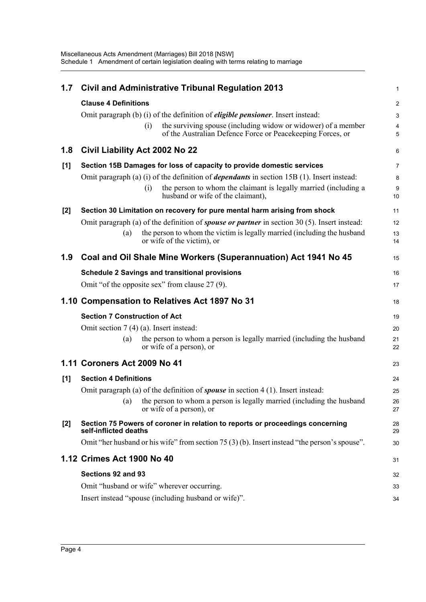| 1.7   | <b>Civil and Administrative Tribunal Regulation 2013</b>                                                                           | 1              |
|-------|------------------------------------------------------------------------------------------------------------------------------------|----------------|
|       | <b>Clause 4 Definitions</b>                                                                                                        | $\overline{c}$ |
|       | Omit paragraph (b) (i) of the definition of <i>eligible pensioner</i> . Insert instead:                                            | 3              |
|       | the surviving spouse (including widow or widower) of a member<br>(i)<br>of the Australian Defence Force or Peacekeeping Forces, or | 4<br>5         |
| 1.8   | Civil Liability Act 2002 No 22                                                                                                     | 6              |
| [1]   | Section 15B Damages for loss of capacity to provide domestic services                                                              | 7              |
|       | Omit paragraph (a) (i) of the definition of <i>dependants</i> in section 15B (1). Insert instead:                                  | 8              |
|       | the person to whom the claimant is legally married (including a<br>(i)<br>husband or wife of the claimant),                        | 9<br>10        |
| $[2]$ | Section 30 Limitation on recovery for pure mental harm arising from shock                                                          | 11             |
|       | Omit paragraph (a) of the definition of <i>spouse or partner</i> in section 30 (5). Insert instead:                                | 12             |
|       | the person to whom the victim is legally married (including the husband<br>(a)<br>or wife of the victim), or                       | 13<br>14       |
| 1.9   | Coal and Oil Shale Mine Workers (Superannuation) Act 1941 No 45                                                                    | 15             |
|       | <b>Schedule 2 Savings and transitional provisions</b>                                                                              | 16             |
|       | Omit "of the opposite sex" from clause 27 (9).                                                                                     | 17             |
|       |                                                                                                                                    |                |
|       | 1.10 Compensation to Relatives Act 1897 No 31                                                                                      | 18             |
|       | <b>Section 7 Construction of Act</b>                                                                                               | 19             |
|       | Omit section $7(4)(a)$ . Insert instead:                                                                                           | 20             |
|       | the person to whom a person is legally married (including the husband<br>(a)<br>or wife of a person), or                           | 21<br>22       |
|       | 1.11 Coroners Act 2009 No 41                                                                                                       | 23             |
| [1]   | <b>Section 4 Definitions</b>                                                                                                       | 24             |
|       | Omit paragraph (a) of the definition of <b>spouse</b> in section $4(1)$ . Insert instead:                                          | 25             |
|       | (a) the person to whom a person is legally married (including the husband<br>or wife of a person), or                              | 26<br>27       |
| [2]   | Section 75 Powers of coroner in relation to reports or proceedings concerning<br>self-inflicted deaths                             | 28<br>29       |
|       | Omit "her husband or his wife" from section 75 (3) (b). Insert instead "the person's spouse".                                      | 30             |
|       | 1.12 Crimes Act 1900 No 40                                                                                                         | 31             |
|       | Sections 92 and 93                                                                                                                 | 32             |
|       | Omit "husband or wife" wherever occurring.                                                                                         | 33             |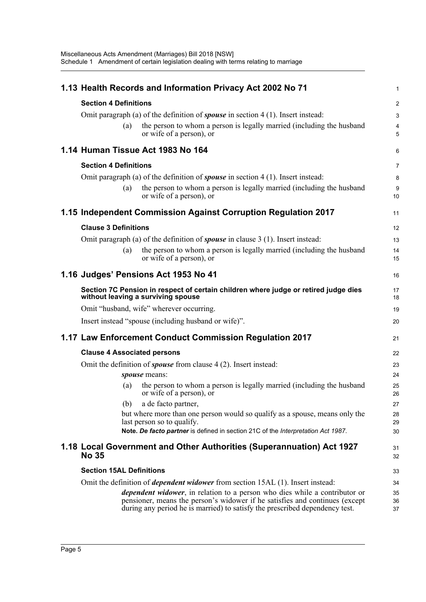|                                    |     | 1.13 Health Records and Information Privacy Act 2002 No 71                                                                                                                                                                                       | $\mathbf{1}$   |
|------------------------------------|-----|--------------------------------------------------------------------------------------------------------------------------------------------------------------------------------------------------------------------------------------------------|----------------|
| <b>Section 4 Definitions</b>       |     |                                                                                                                                                                                                                                                  | $\overline{2}$ |
|                                    |     | Omit paragraph (a) of the definition of <b>spouse</b> in section $4(1)$ . Insert instead:                                                                                                                                                        | 3              |
|                                    | (a) | the person to whom a person is legally married (including the husband<br>or wife of a person), or                                                                                                                                                | 4<br>5         |
|                                    |     | 1.14 Human Tissue Act 1983 No 164                                                                                                                                                                                                                | 6              |
| <b>Section 4 Definitions</b>       |     |                                                                                                                                                                                                                                                  | $\overline{7}$ |
|                                    |     | Omit paragraph (a) of the definition of <i>spouse</i> in section $4(1)$ . Insert instead:                                                                                                                                                        | 8              |
|                                    | (a) | the person to whom a person is legally married (including the husband<br>or wife of a person), or                                                                                                                                                | 9<br>10        |
|                                    |     | 1.15 Independent Commission Against Corruption Regulation 2017                                                                                                                                                                                   | 11             |
| <b>Clause 3 Definitions</b>        |     |                                                                                                                                                                                                                                                  | 12             |
|                                    |     | Omit paragraph (a) of the definition of <b>spouse</b> in clause $3(1)$ . Insert instead:                                                                                                                                                         | 13             |
|                                    | (a) | the person to whom a person is legally married (including the husband<br>or wife of a person), or                                                                                                                                                | 14<br>15       |
|                                    |     | 1.16 Judges' Pensions Act 1953 No 41                                                                                                                                                                                                             | 16             |
|                                    |     | Section 7C Pension in respect of certain children where judge or retired judge dies<br>without leaving a surviving spouse                                                                                                                        | 17<br>18       |
|                                    |     | Omit "husband, wife" wherever occurring.                                                                                                                                                                                                         | 19             |
|                                    |     | Insert instead "spouse (including husband or wife)".                                                                                                                                                                                             | 20             |
|                                    |     | 1.17 Law Enforcement Conduct Commission Regulation 2017                                                                                                                                                                                          | 21             |
| <b>Clause 4 Associated persons</b> |     |                                                                                                                                                                                                                                                  | 22             |
|                                    |     | Omit the definition of <i>spouse</i> from clause 4 (2). Insert instead:                                                                                                                                                                          | 23             |
|                                    |     | spouse means:                                                                                                                                                                                                                                    | 24             |
|                                    | (a) | the person to whom a person is legally married (including the husband<br>or wife of a person), or                                                                                                                                                | 25<br>26       |
|                                    | (b) | a de facto partner,                                                                                                                                                                                                                              | 27             |
|                                    |     | but where more than one person would so qualify as a spouse, means only the<br>last person so to qualify.                                                                                                                                        | 28<br>29       |
|                                    |     | Note. De facto partner is defined in section 21C of the Interpretation Act 1987.                                                                                                                                                                 | 30             |
| <b>No 35</b>                       |     | 1.18 Local Government and Other Authorities (Superannuation) Act 1927                                                                                                                                                                            | 31<br>32       |
| <b>Section 15AL Definitions</b>    |     |                                                                                                                                                                                                                                                  | 33             |
|                                    |     | Omit the definition of <i>dependent widower</i> from section 15AL (1). Insert instead:                                                                                                                                                           | 34             |
|                                    |     | <i>dependent widower</i> , in relation to a person who dies while a contributor or<br>pensioner, means the person's widower if he satisfies and continues (except<br>during any period he is married) to satisfy the prescribed dependency test. | 35<br>36<br>37 |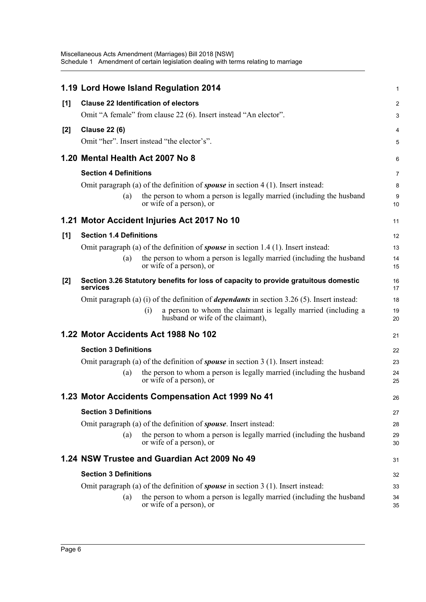|     |                                             | 1.19 Lord Howe Island Regulation 2014                                                                     | 1              |
|-----|---------------------------------------------|-----------------------------------------------------------------------------------------------------------|----------------|
| [1] | <b>Clause 22 Identification of electors</b> |                                                                                                           | 2              |
|     |                                             | Omit "A female" from clause 22 (6). Insert instead "An elector".                                          | 3              |
| [2] | <b>Clause 22 (6)</b>                        |                                                                                                           | 4              |
|     |                                             | Omit "her". Insert instead "the elector's".                                                               | 5              |
|     | 1.20 Mental Health Act 2007 No 8            |                                                                                                           | 6              |
|     | <b>Section 4 Definitions</b>                |                                                                                                           | $\overline{7}$ |
|     |                                             | Omit paragraph (a) of the definition of <b>spouse</b> in section $4(1)$ . Insert instead:                 | 8              |
|     | (a)                                         | the person to whom a person is legally married (including the husband<br>or wife of a person), or         | 9<br>10        |
|     |                                             | 1.21 Motor Accident Injuries Act 2017 No 10                                                               | 11             |
| [1] | <b>Section 1.4 Definitions</b>              |                                                                                                           | 12             |
|     |                                             | Omit paragraph (a) of the definition of <b>spouse</b> in section $1.4(1)$ . Insert instead:               | 13             |
|     | (a)                                         | the person to whom a person is legally married (including the husband<br>or wife of a person), or         | 14<br>15       |
| [2] | services                                    | Section 3.26 Statutory benefits for loss of capacity to provide gratuitous domestic                       | 16<br>17       |
|     |                                             | Omit paragraph (a) (i) of the definition of <i>dependants</i> in section 3.26 (5). Insert instead:        | 18             |
|     |                                             | a person to whom the claimant is legally married (including a<br>(i)<br>husband or wife of the claimant), | 19<br>20       |
|     |                                             | 1.22 Motor Accidents Act 1988 No 102                                                                      | 21             |
|     | <b>Section 3 Definitions</b>                |                                                                                                           | 22             |
|     |                                             | Omit paragraph (a) of the definition of <b>spouse</b> in section $3(1)$ . Insert instead:                 | 23             |
|     | (a)                                         | the person to whom a person is legally married (including the husband<br>or wife of a person), or         | 24<br>25       |
|     |                                             | 1.23 Motor Accidents Compensation Act 1999 No 41                                                          | 26             |
|     | <b>Section 3 Definitions</b>                |                                                                                                           | 27             |
|     |                                             | Omit paragraph (a) of the definition of <i>spouse</i> . Insert instead:                                   | 28             |
|     | (a)                                         | the person to whom a person is legally married (including the husband<br>or wife of a person), or         | 29<br>30       |
|     |                                             | 1.24 NSW Trustee and Guardian Act 2009 No 49                                                              | 31             |
|     | <b>Section 3 Definitions</b>                |                                                                                                           | 32             |
|     |                                             | Omit paragraph (a) of the definition of <b>spouse</b> in section $3(1)$ . Insert instead:                 | 33             |
|     | (a)                                         | the person to whom a person is legally married (including the husband<br>or wife of a person), or         | 34<br>35       |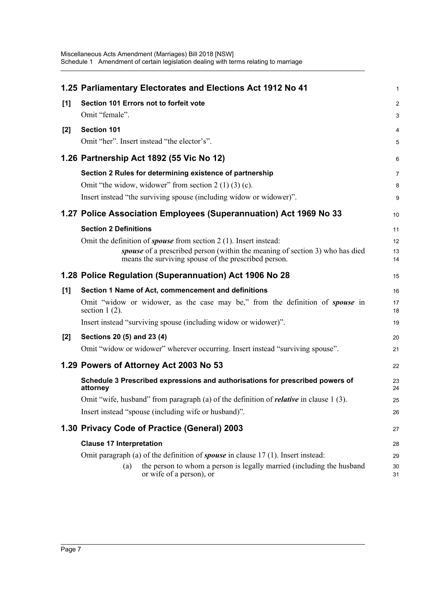|       | 1.25 Parliamentary Electorates and Elections Act 1912 No 41                                                                          | $\mathbf{1}$   |
|-------|--------------------------------------------------------------------------------------------------------------------------------------|----------------|
| [1]   | Section 101 Errors not to forfeit vote                                                                                               | 2              |
|       | Omit "female".                                                                                                                       | 3              |
| $[2]$ | Section 101                                                                                                                          | 4              |
|       | Omit "her". Insert instead "the elector's".                                                                                          | 5              |
|       | 1.26 Partnership Act 1892 (55 Vic No 12)                                                                                             | 6              |
|       | Section 2 Rules for determining existence of partnership                                                                             | $\overline{7}$ |
|       | Omit "the widow, widower" from section $2(1)(3)(c)$ .                                                                                | 8              |
|       | Insert instead "the surviving spouse (including widow or widower)".                                                                  | 9              |
|       | 1.27 Police Association Employees (Superannuation) Act 1969 No 33                                                                    | 10             |
|       | <b>Section 2 Definitions</b>                                                                                                         | 11             |
|       | Omit the definition of <i>spouse</i> from section $2(1)$ . Insert instead:                                                           | 12             |
|       | spouse of a prescribed person (within the meaning of section 3) who has died<br>means the surviving spouse of the prescribed person. | 13<br>14       |
|       | 1.28 Police Regulation (Superannuation) Act 1906 No 28                                                                               | 15             |
| [1]   | Section 1 Name of Act, commencement and definitions                                                                                  | 16             |
|       | Omit "widow or widower, as the case may be," from the definition of <i>spouse</i> in<br>section $1(2)$ .                             | 17<br>18       |
|       | Insert instead "surviving spouse (including widow or widower)".                                                                      | 19             |
| $[2]$ | Sections 20 (5) and 23 (4)                                                                                                           | 20             |
|       | Omit "widow or widower" wherever occurring. Insert instead "surviving spouse".                                                       | 21             |
|       | 1.29 Powers of Attorney Act 2003 No 53                                                                                               | 22             |
|       | Schedule 3 Prescribed expressions and authorisations for prescribed powers of<br>attorney                                            | 23<br>24       |
|       | Omit "wife, husband" from paragraph (a) of the definition of <i>relative</i> in clause 1 (3).                                        | 25             |
|       | Insert instead "spouse (including wife or husband)".                                                                                 | 26             |
|       | 1.30 Privacy Code of Practice (General) 2003                                                                                         | 27             |
|       | <b>Clause 17 Interpretation</b>                                                                                                      | 28             |
|       | Omit paragraph (a) of the definition of <b>spouse</b> in clause $17(1)$ . Insert instead:                                            | 29             |
|       | the person to whom a person is legally married (including the husband<br>(a)<br>or wife of a person), or                             | 30<br>31       |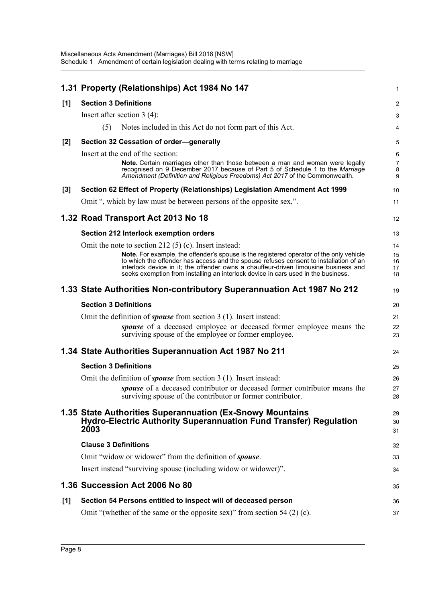|       | 1.31 Property (Relationships) Act 1984 No 147                                                                                                                                                                                                        | $\mathbf{1}$             |
|-------|------------------------------------------------------------------------------------------------------------------------------------------------------------------------------------------------------------------------------------------------------|--------------------------|
| [1]   | <b>Section 3 Definitions</b>                                                                                                                                                                                                                         | $\overline{2}$           |
|       | Insert after section $3(4)$ :                                                                                                                                                                                                                        | 3                        |
|       | (5)<br>Notes included in this Act do not form part of this Act.                                                                                                                                                                                      | 4                        |
| $[2]$ | Section 32 Cessation of order-generally                                                                                                                                                                                                              | 5                        |
|       | Insert at the end of the section:                                                                                                                                                                                                                    | 6                        |
|       | <b>Note.</b> Certain marriages other than those between a man and woman were legally<br>recognised on 9 December 2017 because of Part 5 of Schedule 1 to the Marriage<br>Amendment (Definition and Religious Freedoms) Act 2017 of the Commonwealth. | $\overline{7}$<br>8<br>9 |
| $[3]$ | Section 62 Effect of Property (Relationships) Legislation Amendment Act 1999                                                                                                                                                                         | 10                       |
|       | Omit ", which by law must be between persons of the opposite sex,".                                                                                                                                                                                  | 11                       |
|       | 1.32 Road Transport Act 2013 No 18                                                                                                                                                                                                                   | 12                       |
|       | Section 212 Interlock exemption orders                                                                                                                                                                                                               | 13                       |
|       | Omit the note to section 212 $(5)$ (c). Insert instead:                                                                                                                                                                                              | 14                       |
|       | <b>Note.</b> For example, the offender's spouse is the registered operator of the only vehicle<br>to which the offender has access and the spouse refuses consent to installation of an                                                              | 15<br>16                 |
|       | interlock device in it; the offender owns a chauffeur-driven limousine business and<br>seeks exemption from installing an interlock device in cars used in the business.                                                                             | 17<br>18                 |
|       | 1.33 State Authorities Non-contributory Superannuation Act 1987 No 212                                                                                                                                                                               | 19                       |
|       | <b>Section 3 Definitions</b>                                                                                                                                                                                                                         | 20                       |
|       | Omit the definition of <i>spouse</i> from section 3 (1). Insert instead:                                                                                                                                                                             | 21                       |
|       | spouse of a deceased employee or deceased former employee means the<br>surviving spouse of the employee or former employee.                                                                                                                          | 22<br>23                 |
|       | 1.34 State Authorities Superannuation Act 1987 No 211                                                                                                                                                                                                | 24                       |
|       | <b>Section 3 Definitions</b>                                                                                                                                                                                                                         | 25                       |
|       | Omit the definition of <i>spouse</i> from section $3(1)$ . Insert instead:                                                                                                                                                                           | 26                       |
|       | spouse of a deceased contributor or deceased former contributor means the<br>surviving spouse of the contributor or former contributor.                                                                                                              | 27<br>28                 |
|       | 1.35 State Authorities Superannuation (Ex-Snowy Mountains                                                                                                                                                                                            | 29                       |
|       | <b>Hydro-Electric Authority Superannuation Fund Transfer) Regulation</b><br>2003                                                                                                                                                                     | 30<br>31                 |
|       | <b>Clause 3 Definitions</b>                                                                                                                                                                                                                          | 32                       |
|       | Omit "widow or widower" from the definition of <i>spouse</i> .                                                                                                                                                                                       | 33                       |
|       | Insert instead "surviving spouse (including widow or widower)".                                                                                                                                                                                      | 34                       |
|       | 1.36 Succession Act 2006 No 80                                                                                                                                                                                                                       | 35                       |
| [1]   | Section 54 Persons entitled to inspect will of deceased person                                                                                                                                                                                       | 36                       |
|       | Omit "(whether of the same or the opposite sex)" from section 54 $(2)$ (c).                                                                                                                                                                          | 37                       |
|       |                                                                                                                                                                                                                                                      |                          |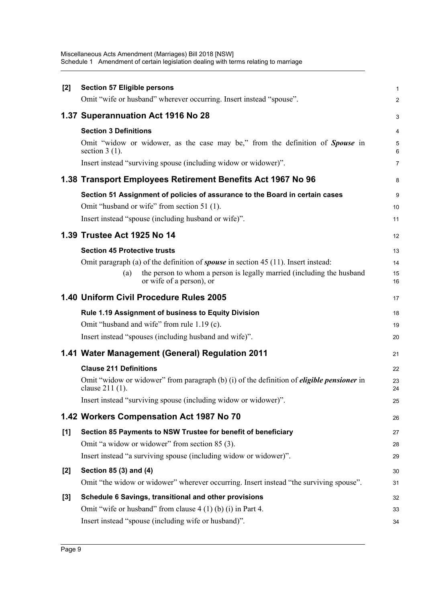Miscellaneous Acts Amendment (Marriages) Bill 2018 [NSW] Schedule 1 Amendment of certain legislation dealing with terms relating to marriage

| $[2]$ | <b>Section 57 Eligible persons</b>                                                                                    |                |
|-------|-----------------------------------------------------------------------------------------------------------------------|----------------|
|       | Omit "wife or husband" wherever occurring. Insert instead "spouse".                                                   |                |
|       | 1.37 Superannuation Act 1916 No 28                                                                                    |                |
|       | <b>Section 3 Definitions</b>                                                                                          | 4              |
|       | Omit "widow or widower, as the case may be," from the definition of <b>Spouse</b> in<br>section $3(1)$ .              | $\epsilon$     |
|       | Insert instead "surviving spouse (including widow or widower)".                                                       | 7              |
|       | 1.38 Transport Employees Retirement Benefits Act 1967 No 96                                                           | ε              |
|       | Section 51 Assignment of policies of assurance to the Board in certain cases                                          | ς              |
|       | Omit "husband or wife" from section 51 (1).                                                                           | 10             |
|       | Insert instead "spouse (including husband or wife)".                                                                  | 11             |
|       | 1.39 Trustee Act 1925 No 14                                                                                           | 12             |
|       | <b>Section 45 Protective trusts</b>                                                                                   | 13             |
|       | Omit paragraph (a) of the definition of <i>spouse</i> in section $45(11)$ . Insert instead:                           | 14             |
|       | the person to whom a person is legally married (including the husband<br>(a)<br>or wife of a person), or              | 15<br>16       |
|       | 1.40 Uniform Civil Procedure Rules 2005                                                                               | 17             |
|       | Rule 1.19 Assignment of business to Equity Division                                                                   | 18             |
|       | Omit "husband and wife" from rule 1.19 (c).                                                                           | 19             |
|       | Insert instead "spouses (including husband and wife)".                                                                | 20             |
|       | 1.41 Water Management (General) Regulation 2011                                                                       | 21             |
|       | <b>Clause 211 Definitions</b>                                                                                         | 22             |
|       | Omit "widow or widower" from paragraph $(b)$ (i) of the definition of <i>eligible pensioner</i> in<br>clause 211 (1). | 23<br>24       |
|       | Insert instead "surviving spouse (including widow or widower)".                                                       | 25             |
|       | 1.42 Workers Compensation Act 1987 No 70                                                                              | 26             |
| [1]   | Section 85 Payments to NSW Trustee for benefit of beneficiary                                                         | 27             |
|       | Omit "a widow or widower" from section 85 (3).                                                                        | 28             |
|       | Insert instead "a surviving spouse (including widow or widower)".                                                     | 29             |
| $[2]$ | Section 85 (3) and (4)                                                                                                | 3 <sub>C</sub> |
|       | Omit "the widow or widower" wherever occurring. Insert instead "the surviving spouse".                                | 31             |
| $[3]$ | Schedule 6 Savings, transitional and other provisions                                                                 | 32             |
|       | Omit "wife or husband" from clause $4(1)(b)(i)$ in Part 4.                                                            | 33             |
|       | Insert instead "spouse (including wife or husband)".                                                                  | 34             |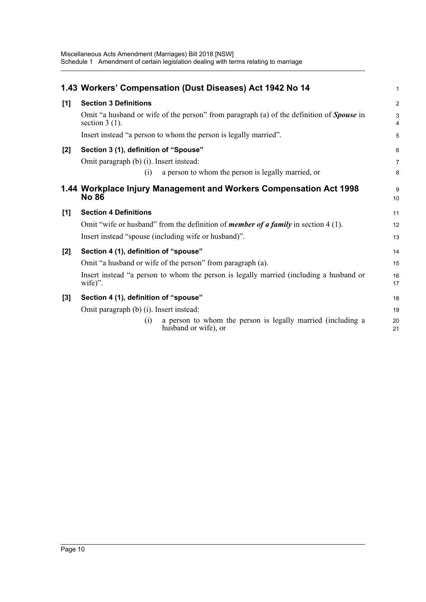|       | 1.43 Workers' Compensation (Dust Diseases) Act 1942 No 14                                                           | 1                   |
|-------|---------------------------------------------------------------------------------------------------------------------|---------------------|
| [1]   | <b>Section 3 Definitions</b>                                                                                        | $\overline{2}$      |
|       | Omit "a husband or wife of the person" from paragraph (a) of the definition of <b>Spouse</b> in<br>section $3(1)$ . | 3<br>$\overline{4}$ |
|       | Insert instead "a person to whom the person is legally married".                                                    | 5                   |
| $[2]$ | Section 3 (1), definition of "Spouse"                                                                               | 6                   |
|       | Omit paragraph (b) (i). Insert instead:                                                                             | $\overline{7}$      |
|       | a person to whom the person is legally married, or<br>(i)                                                           | 8                   |
|       | 1.44 Workplace Injury Management and Workers Compensation Act 1998<br><b>No 86</b>                                  | 9<br>10             |
| [1]   | <b>Section 4 Definitions</b>                                                                                        | 11                  |
|       | Omit "wife or husband" from the definition of <i>member of a family</i> in section 4 (1).                           | 12                  |
|       | Insert instead "spouse (including wife or husband)".                                                                | 13                  |
| $[2]$ | Section 4 (1), definition of "spouse"                                                                               | 14                  |
|       | Omit "a husband or wife of the person" from paragraph (a).                                                          | 15                  |
|       | Insert instead "a person to whom the person is legally married (including a husband or<br>wife)".                   | 16<br>17            |
| $[3]$ | Section 4 (1), definition of "spouse"                                                                               | 18                  |
|       | Omit paragraph (b) (i). Insert instead:                                                                             | 19                  |
|       | a person to whom the person is legally married (including a<br>(1)<br>husband or wife), or                          | 20<br>21            |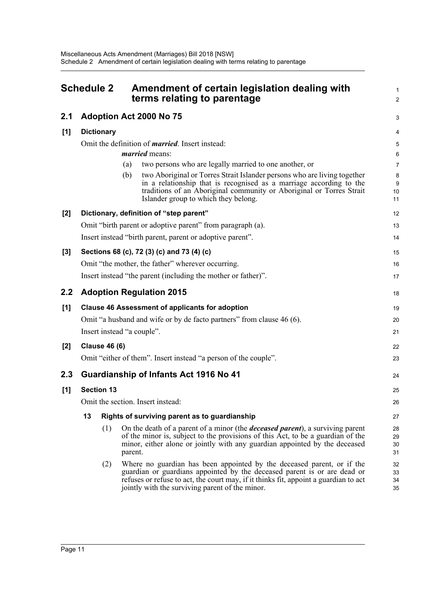<span id="page-16-0"></span>

|         | <b>Schedule 2</b> |                      | Amendment of certain legislation dealing with<br>terms relating to parentage                                                                                                                                                                                                                  | $\mathbf{1}$<br>$\overline{2}$ |
|---------|-------------------|----------------------|-----------------------------------------------------------------------------------------------------------------------------------------------------------------------------------------------------------------------------------------------------------------------------------------------|--------------------------------|
| 2.1     |                   |                      | Adoption Act 2000 No 75                                                                                                                                                                                                                                                                       | 3                              |
| [1]     |                   | <b>Dictionary</b>    |                                                                                                                                                                                                                                                                                               | 4                              |
|         |                   |                      | Omit the definition of <i>married</i> . Insert instead:                                                                                                                                                                                                                                       | $\sqrt{5}$                     |
|         |                   |                      | <i>married</i> means:                                                                                                                                                                                                                                                                         | 6                              |
|         |                   |                      | two persons who are legally married to one another, or<br>(a)                                                                                                                                                                                                                                 | $\overline{7}$                 |
|         |                   |                      | two Aboriginal or Torres Strait Islander persons who are living together<br>(b)<br>in a relationship that is recognised as a marriage according to the<br>traditions of an Aboriginal community or Aboriginal or Torres Strait<br>Islander group to which they belong.                        | 8<br>9<br>10<br>11             |
| [2]     |                   |                      | Dictionary, definition of "step parent"                                                                                                                                                                                                                                                       | 12                             |
|         |                   |                      | Omit "birth parent or adoptive parent" from paragraph (a).                                                                                                                                                                                                                                    | 13                             |
|         |                   |                      | Insert instead "birth parent, parent or adoptive parent".                                                                                                                                                                                                                                     | 14                             |
| [3]     |                   |                      | Sections 68 (c), 72 (3) (c) and 73 (4) (c)                                                                                                                                                                                                                                                    | 15                             |
|         |                   |                      | Omit "the mother, the father" wherever occurring.                                                                                                                                                                                                                                             | 16                             |
|         |                   |                      | Insert instead "the parent (including the mother or father)".                                                                                                                                                                                                                                 | 17                             |
| $2.2\,$ |                   |                      | <b>Adoption Regulation 2015</b>                                                                                                                                                                                                                                                               | 18                             |
| [1]     |                   |                      | <b>Clause 46 Assessment of applicants for adoption</b>                                                                                                                                                                                                                                        | 19                             |
|         |                   |                      | Omit "a husband and wife or by de facto partners" from clause 46 (6).                                                                                                                                                                                                                         | 20                             |
|         |                   |                      | Insert instead "a couple".                                                                                                                                                                                                                                                                    | 21                             |
| [2]     |                   | <b>Clause 46 (6)</b> |                                                                                                                                                                                                                                                                                               | 22                             |
|         |                   |                      | Omit "either of them". Insert instead "a person of the couple".                                                                                                                                                                                                                               | 23                             |
| 2.3     |                   |                      | Guardianship of Infants Act 1916 No 41                                                                                                                                                                                                                                                        | 24                             |
| [1]     | <b>Section 13</b> |                      |                                                                                                                                                                                                                                                                                               | 25                             |
|         |                   |                      | Omit the section. Insert instead:                                                                                                                                                                                                                                                             | 26                             |
|         | 13                |                      | Rights of surviving parent as to guardianship                                                                                                                                                                                                                                                 | 27                             |
|         |                   | (1)                  | On the death of a parent of a minor (the <i>deceased parent</i> ), a surviving parent<br>of the minor is, subject to the provisions of this Act, to be a guardian of the<br>minor, either alone or jointly with any guardian appointed by the deceased<br>parent.                             | 28<br>29<br>30<br>31           |
|         |                   | (2)                  | Where no guardian has been appointed by the deceased parent, or if the<br>guardian or guardians appointed by the deceased parent is or are dead or<br>refuses or refuse to act, the court may, if it thinks fit, appoint a guardian to act<br>jointly with the surviving parent of the minor. | 32<br>33<br>34<br>35           |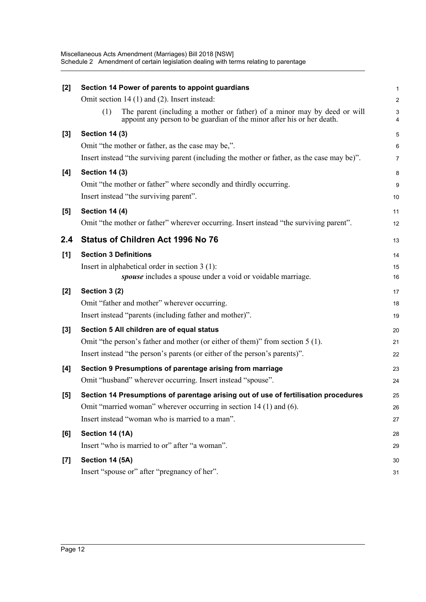| [2]   | Section 14 Power of parents to appoint guardians                                                                                                          |                |
|-------|-----------------------------------------------------------------------------------------------------------------------------------------------------------|----------------|
|       | Omit section 14 (1) and (2). Insert instead:                                                                                                              | 2              |
|       | The parent (including a mother or father) of a minor may by deed or will<br>(1)<br>appoint any person to be guardian of the minor after his or her death. |                |
| [3]   | <b>Section 14 (3)</b>                                                                                                                                     | E              |
|       | Omit "the mother or father, as the case may be,".                                                                                                         | Е              |
|       | Insert instead "the surviving parent (including the mother or father, as the case may be)".                                                               | 7              |
| [4]   | <b>Section 14 (3)</b>                                                                                                                                     | ε              |
|       | Omit "the mother or father" where secondly and thirdly occurring.                                                                                         | ς              |
|       | Insert instead "the surviving parent".                                                                                                                    | 10             |
| [5]   | Section 14 (4)                                                                                                                                            | 11             |
|       | Omit "the mother or father" wherever occurring. Insert instead "the surviving parent".                                                                    | 12             |
| 2.4   | <b>Status of Children Act 1996 No 76</b>                                                                                                                  | 13             |
| [1]   | <b>Section 3 Definitions</b>                                                                                                                              | 14             |
|       | Insert in alphabetical order in section $3(1)$ :                                                                                                          | 15             |
|       | spouse includes a spouse under a void or voidable marriage.                                                                                               | 16             |
| $[2]$ | Section 3 (2)                                                                                                                                             | 17             |
|       | Omit "father and mother" wherever occurring.                                                                                                              | 18             |
|       | Insert instead "parents (including father and mother)".                                                                                                   | 19             |
| [3]   | Section 5 All children are of equal status                                                                                                                | 20             |
|       | Omit "the person's father and mother (or either of them)" from section 5 (1).                                                                             | 21             |
|       | Insert instead "the person's parents (or either of the person's parents)".                                                                                | 22             |
| [4]   | Section 9 Presumptions of parentage arising from marriage                                                                                                 | 23             |
|       | Omit "husband" wherever occurring. Insert instead "spouse".                                                                                               | 24             |
| [5]   | Section 14 Presumptions of parentage arising out of use of fertilisation procedures                                                                       | 25             |
|       | Omit "married woman" wherever occurring in section 14 (1) and (6).                                                                                        | 26             |
|       | Insert instead "woman who is married to a man".                                                                                                           | 27             |
| [6]   | Section 14 (1A)                                                                                                                                           | 28             |
|       | Insert "who is married to or" after "a woman".                                                                                                            | 29             |
| $[7]$ | Section 14 (5A)                                                                                                                                           | 3 <sub>C</sub> |
|       | Insert "spouse or" after "pregnancy of her".                                                                                                              | 31             |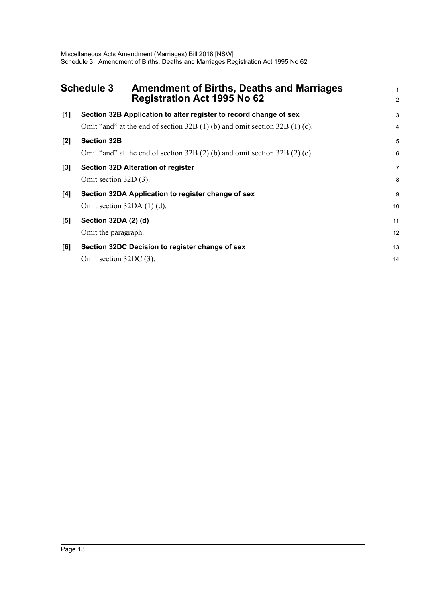<span id="page-18-0"></span>

|       | <b>Schedule 3</b><br><b>Amendment of Births, Deaths and Marriages</b><br><b>Registration Act 1995 No 62</b>                                 | 2           |
|-------|---------------------------------------------------------------------------------------------------------------------------------------------|-------------|
| [1]   | Section 32B Application to alter register to record change of sex                                                                           | З           |
| $[2]$ | Omit "and" at the end of section $32B(1)$ (b) and omit section $32B(1)$ (c).<br><b>Section 32B</b>                                          | 4<br>5      |
| [3]   | Omit "and" at the end of section $32B(2)$ (b) and omit section $32B(2)$ (c).<br>Section 32D Alteration of register<br>Omit section 32D (3). | Е<br>7<br>ε |
| [4]   | Section 32DA Application to register change of sex<br>Omit section $32DA(1)(d)$ .                                                           | ς<br>10     |
| [5]   | Section 32DA (2) (d)<br>Omit the paragraph.                                                                                                 | 11<br>12    |
| [6]   | Section 32DC Decision to register change of sex<br>Omit section 32DC (3).                                                                   | 13<br>14    |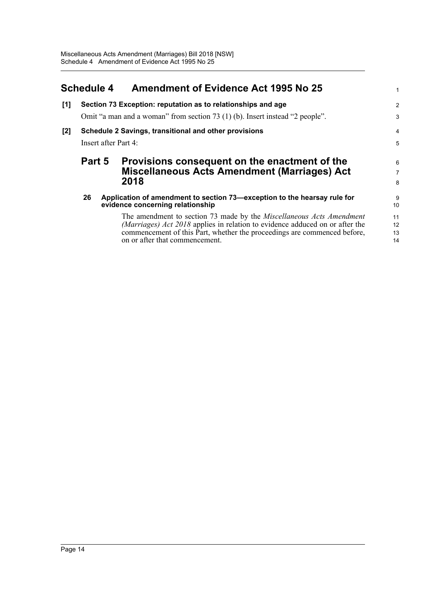<span id="page-19-0"></span>

|       | <b>Schedule 4</b>                                            | <b>Amendment of Evidence Act 1995 No 25</b>                                                                                                                                                                                                                        | 1                    |
|-------|--------------------------------------------------------------|--------------------------------------------------------------------------------------------------------------------------------------------------------------------------------------------------------------------------------------------------------------------|----------------------|
| [1]   | Section 73 Exception: reputation as to relationships and age |                                                                                                                                                                                                                                                                    |                      |
|       |                                                              | Omit "a man and a woman" from section 73 (1) (b). Insert instead "2 people".                                                                                                                                                                                       | 3                    |
| $[2]$ | Schedule 2 Savings, transitional and other provisions        |                                                                                                                                                                                                                                                                    |                      |
|       | Insert after Part 4:                                         |                                                                                                                                                                                                                                                                    |                      |
|       | Part 5                                                       | Provisions consequent on the enactment of the<br><b>Miscellaneous Acts Amendment (Marriages) Act</b>                                                                                                                                                               | 6<br>$\overline{7}$  |
|       |                                                              | 2018                                                                                                                                                                                                                                                               | 8                    |
|       | 26                                                           | Application of amendment to section 73—exception to the hearsay rule for<br>evidence concerning relationship                                                                                                                                                       | 9<br>10 <sup>1</sup> |
|       |                                                              | The amendment to section 73 made by the Miscellaneous Acts Amendment<br>(Marriages) Act 2018 applies in relation to evidence adduced on or after the<br>commencement of this Part, whether the proceedings are commenced before,<br>on or after that commencement. | 11<br>12<br>13<br>14 |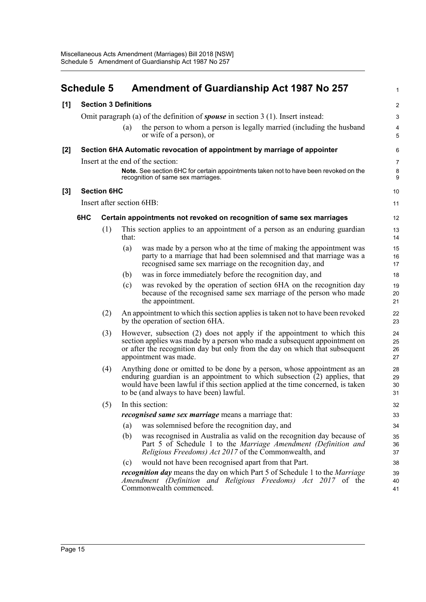<span id="page-20-0"></span>

|       | <b>Schedule 5</b>            |                    |       | <b>Amendment of Guardianship Act 1987 No 257</b>                                                                                                                                                                                                                                     | $\mathbf{1}$              |
|-------|------------------------------|--------------------|-------|--------------------------------------------------------------------------------------------------------------------------------------------------------------------------------------------------------------------------------------------------------------------------------------|---------------------------|
| [1]   | <b>Section 3 Definitions</b> |                    |       | $\overline{2}$                                                                                                                                                                                                                                                                       |                           |
|       |                              |                    |       | Omit paragraph (a) of the definition of <b>spouse</b> in section $3(1)$ . Insert instead:                                                                                                                                                                                            | $\ensuremath{\mathsf{3}}$ |
|       |                              |                    | (a)   | the person to whom a person is legally married (including the husband<br>or wife of a person), or                                                                                                                                                                                    | 4<br>5                    |
| [2]   |                              |                    |       | Section 6HA Automatic revocation of appointment by marriage of appointer                                                                                                                                                                                                             | 6                         |
|       |                              |                    |       | Insert at the end of the section:                                                                                                                                                                                                                                                    | $\overline{7}$            |
|       |                              |                    |       | Note. See section 6HC for certain appointments taken not to have been revoked on the<br>recognition of same sex marriages.                                                                                                                                                           | 8<br>9                    |
| $[3]$ |                              | <b>Section 6HC</b> |       |                                                                                                                                                                                                                                                                                      | 10                        |
|       |                              |                    |       | Insert after section 6HB:                                                                                                                                                                                                                                                            | 11                        |
|       | 6HC                          |                    |       | Certain appointments not revoked on recognition of same sex marriages                                                                                                                                                                                                                | 12                        |
|       |                              | (1)                | that: | This section applies to an appointment of a person as an enduring guardian                                                                                                                                                                                                           | 13<br>14                  |
|       |                              |                    | (a)   | was made by a person who at the time of making the appointment was<br>party to a marriage that had been solemnised and that marriage was a<br>recognised same sex marriage on the recognition day, and                                                                               | 15<br>16<br>17            |
|       |                              |                    | (b)   | was in force immediately before the recognition day, and                                                                                                                                                                                                                             | 18                        |
|       |                              |                    | (c)   | was revoked by the operation of section 6HA on the recognition day<br>because of the recognised same sex marriage of the person who made<br>the appointment.                                                                                                                         | 19<br>20<br>21            |
|       |                              | (2)                |       | An appointment to which this section applies is taken not to have been revoked<br>by the operation of section 6HA.                                                                                                                                                                   | 22<br>23                  |
|       |                              | (3)                |       | However, subsection (2) does not apply if the appointment to which this<br>section applies was made by a person who made a subsequent appointment on<br>or after the recognition day but only from the day on which that subsequent<br>appointment was made.                         | 24<br>25<br>26<br>27      |
|       |                              | (4)                |       | Anything done or omitted to be done by a person, whose appointment as an<br>enduring guardian is an appointment to which subsection $(2)$ applies, that<br>would have been lawful if this section applied at the time concerned, is taken<br>to be (and always to have been) lawful. | 28<br>29<br>30<br>31      |
|       |                              | (5)                |       | In this section:                                                                                                                                                                                                                                                                     | 32                        |
|       |                              |                    |       | <i>recognised same sex marriage</i> means a marriage that:                                                                                                                                                                                                                           | 33                        |
|       |                              |                    | (a)   | was solemnised before the recognition day, and                                                                                                                                                                                                                                       | 34                        |
|       |                              |                    | (b)   | was recognised in Australia as valid on the recognition day because of<br>Part 5 of Schedule 1 to the Marriage Amendment (Definition and<br><i>Religious Freedoms) Act 2017</i> of the Commonwealth, and                                                                             | 35<br>36<br>37            |
|       |                              |                    | (c)   | would not have been recognised apart from that Part.                                                                                                                                                                                                                                 | 38                        |
|       |                              |                    |       | <i>recognition day</i> means the day on which Part 5 of Schedule 1 to the <i>Marriage</i><br>Amendment (Definition and Religious Freedoms) Act 2017 of the<br>Commonwealth commenced.                                                                                                | 39<br>40<br>41            |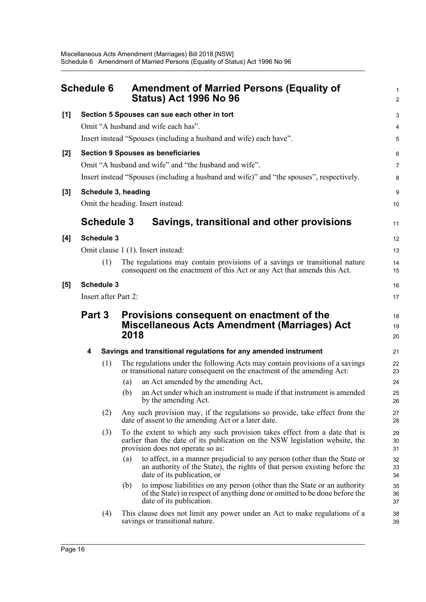<span id="page-21-0"></span>

|     | <b>Schedule 6</b> |                      | <b>Amendment of Married Persons (Equality of</b><br><b>Status) Act 1996 No 96</b>                                                                                                               | 2                          |  |
|-----|-------------------|----------------------|-------------------------------------------------------------------------------------------------------------------------------------------------------------------------------------------------|----------------------------|--|
| [1] |                   |                      | Section 5 Spouses can sue each other in tort                                                                                                                                                    |                            |  |
|     |                   |                      | Omit "A husband and wife each has".                                                                                                                                                             |                            |  |
|     |                   |                      | Insert instead "Spouses (including a husband and wife) each have".                                                                                                                              | ŧ                          |  |
| [2] |                   |                      | <b>Section 9 Spouses as beneficiaries</b>                                                                                                                                                       | Е                          |  |
|     |                   |                      | Omit "A husband and wife" and "the husband and wife".                                                                                                                                           | 7                          |  |
|     |                   |                      | Insert instead "Spouses (including a husband and wife)" and "the spouses", respectively.                                                                                                        | ε                          |  |
| [3] |                   | Schedule 3, heading  | Omit the heading. Insert instead:                                                                                                                                                               | ç<br>10                    |  |
|     |                   | <b>Schedule 3</b>    | Savings, transitional and other provisions                                                                                                                                                      | 11                         |  |
| [4] | <b>Schedule 3</b> |                      |                                                                                                                                                                                                 |                            |  |
|     |                   |                      | Omit clause 1 (1). Insert instead:                                                                                                                                                              | 13                         |  |
|     |                   | (1)                  | The regulations may contain provisions of a savings or transitional nature<br>consequent on the enactment of this Act or any Act that amends this Act.                                          | 14<br>15                   |  |
| [5] | <b>Schedule 3</b> |                      |                                                                                                                                                                                                 |                            |  |
|     |                   | Insert after Part 2: |                                                                                                                                                                                                 | 17                         |  |
|     | Part 3            |                      | Provisions consequent on enactment of the<br><b>Miscellaneous Acts Amendment (Marriages) Act</b><br>2018                                                                                        | 18<br>1 <sup>c</sup><br>20 |  |
|     | 4                 |                      | Savings and transitional regulations for any amended instrument                                                                                                                                 | 21                         |  |
|     |                   | (1)                  | The regulations under the following Acts may contain provisions of a savings<br>or transitional nature consequent on the enactment of the amending Act:                                         | 22<br>23                   |  |
|     |                   | (a)                  | an Act amended by the amending Act,                                                                                                                                                             | 24                         |  |
|     |                   | (b)                  | an Act under which an instrument is made if that instrument is amended<br>by the amending Act.                                                                                                  | 25<br>26                   |  |
|     |                   | (2)                  | Any such provision may, if the regulations so provide, take effect from the<br>date of assent to the amending Act or a later date.                                                              | 27<br>28                   |  |
|     |                   | (3)                  | To the extent to which any such provision takes effect from a date that is<br>earlier than the date of its publication on the NSW legislation website, the<br>provision does not operate so as: | <b>29</b><br>30<br>31      |  |
|     |                   | (a)                  | to affect, in a manner prejudicial to any person (other than the State or<br>an authority of the State), the rights of that person existing before the<br>date of its publication, or           | 32<br>33<br>34             |  |
|     |                   | (b)                  | to impose liabilities on any person (other than the State or an authority<br>of the State) in respect of anything done or omitted to be done before the<br>date of its publication.             | 35<br>36<br>37             |  |
|     |                   | (4)                  | This clause does not limit any power under an Act to make regulations of a<br>savings or transitional nature.                                                                                   | 38<br>39                   |  |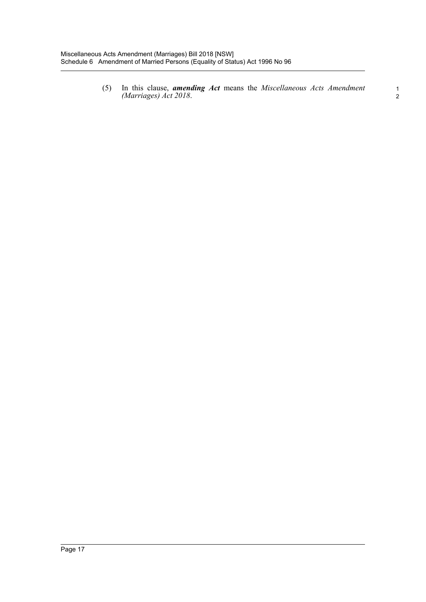(5) In this clause, *amending Act* means the *Miscellaneous Acts Amendment (Marriages) Act 2018*. <sup>1</sup>